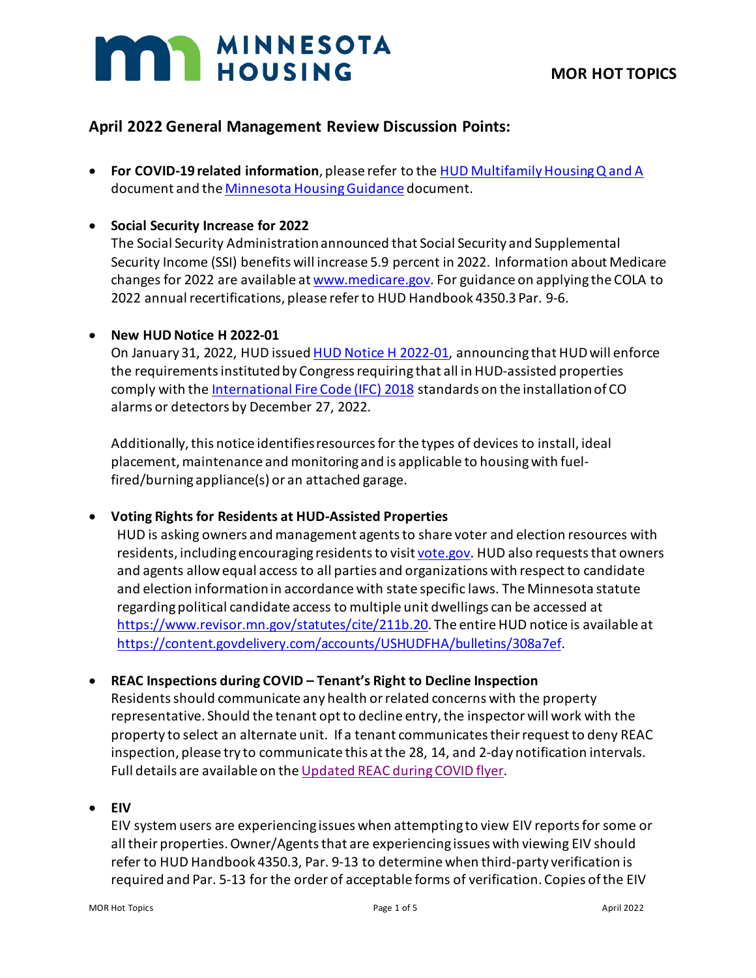# **MAR** MINNESOTA

# **April 2022 General Management Review Discussion Points:**

• **For COVID-19 related information**, please refer to the [HUD Multifamily Housing Q and A](https://www.hud.gov/sites/dfiles/Housing/documents/HUD_Multifamily_Corona_QA_FINAL.pdf) document and th[e Minnesota Housing Guidance](https://www.mnhousing.gov/get/MHFA_238349) document.

# • **Social Security Increase for 2022**

The Social Security Administration announced that Social Security and Supplemental Security Income (SSI) benefits will increase 5.9 percent in 2022. Information about Medicare changes for 2022 are available at [www.medicare.gov.](http://www.medicare.gov/) For guidance on applying the COLA to 2022 annual recertifications, please refer to HUD Handbook 4350.3 Par. 9-6.

## • **New HUD Notice H 2022-01**

On January 31, 2022, HUD issued [HUD Notice H 2022-01,](https://www.hud.gov/sites/dfiles/OCHCO/documents/2022-01pihn.pdf) announcing that HUD will enforce the requirements instituted by Congress requiring that all in HUD-assisted properties comply with th[e International Fire Code \(IFC\) 2018](https://gcc02.safelinks.protection.outlook.com/?url=https%3A%2F%2Ftrk.klclick3.com%2Fls%2Fclick%3Fupn%3DvFjKxPMfJSvbW7pu-2FbSPqnWVVSboqw8m48yNRsf82ssASi-2FQOEM5ctwgMVixdE6US-2FJ-2Fe6rgUvg-2BvMKFgTnVIQ2iT5YqCXk4K4kM-2FQvfLJXSbXEhGS8xPCUSTNR2S92q8TvB-2B0mc9qi9DyCwrFWiMAKC0GMsAXkWArCsr-2Bb-2F5WHwfffViTMP8hqsymtfLfSBa5enyohzUcEm4KMNJ2hEjIyiDukeA-2BlGSnx4ZTun41SbnTDudYDgYCPsZVsbJEHWdW0RL-2FMHyCwlOeC9gT1GaA-3D-3DpJHy_Rytl71JJIFj7eMmBc-2FWVT5Blvk1H7I0dQ7T2XQk057nDRADx49gDmtRQrLIHHYV5pEKDHiObhY8418n3zakwEeUMBuw4iKGNw5mCRuQXz7OkVYmwVQTmNYgIigqYx-2FTlUctlsoV3QtNvrEYnQ7geGIoCKVqA1rNcXBnD4ZLw5jOjI9qJmaCf14rwoTnCpxmVNxTlKKeqB9tmUZxJBzqqnwx86kF-2FIeQ7K8AyNYAP2SaWSyXw1hPAD4E3T9TBo559i2Pk44QM-2F0Ij-2B8wWdCbnGfOzbn7rXI1A1-2BKFch54VTQpOefuuOyOqrmA4I-2BWxHunLKeZLFPyaEZ9OebD1LABw6JwZ07PxmrRzjebYplny4P7lGWXtfn2-2FKhe-2FHxfOwoNaWVWOkTRw-2BIAwe6i6-2BFEdQ-3D-3D&data=04%7C01%7Ccassie.gordon%40state.mn.us%7Cc888bf6a46bb4bc09a5108d9e67a1692%7Ceb14b04624c445198f26b89c2159828c%7C0%7C0%7C637794234316184807%7CUnknown%7CTWFpbGZsb3d8eyJWIjoiMC4wLjAwMDAiLCJQIjoiV2luMzIiLCJBTiI6Ik1haWwiLCJXVCI6Mn0%3D%7C3000&sdata=p2PqeLjThjcJccUiR3Dzb5oHxVcYIV9ep2F5eYczGs4%3D&reserved=0) standards on the installation of CO alarms or detectors by December 27, 2022.

Additionally, this notice identifies resources for the types of devices to install, ideal placement, maintenance and monitoring and is applicable to housing with fuelfired/burning appliance(s) or an attached garage.

# • **Voting Rights for Residents at HUD-Assisted Properties**

HUD is asking owners and management agents to share voter and election resources with residents, including encouraging residents to visit [vote.gov.](https://vote.gov/?utm_medium=email&utm_source=govdelivery) HUD also requests that owners and agents allow equal access to all parties and organizations with respect to candidate and election information in accordance with state specific laws. The Minnesota statute regarding political candidate access to multiple unit dwellings can be accessed at [https://www.revisor.mn.gov/statutes/cite/211b.20.](https://www.revisor.mn.gov/statutes/cite/211b.20) The entire HUD notice is available at [https://content.govdelivery.com/accounts/USHUDFHA/bulletins/308a7ef.](https://content.govdelivery.com/accounts/USHUDFHA/bulletins/308a7ef)

## • **REAC Inspections during COVID – Tenant's Right to Decline Inspection**

Residents should communicate any health or related concerns with the property representative. Should the tenant opt to decline entry, the inspector will work with the property to select an alternate unit. If a tenant communicates their request to deny REAC inspection, please try to communicate this at the 28, 14, and 2-day notification intervals. Full details are available on th[e Updated REAC during COVID flyer.](https://www.us-hc.com/wp-content/uploads/2022/02/REAC-Stakeholder-COVID-Inspection-Adjustment-Flyer-Feb-10-2022.pdf?_kx=aAfq-TPQqY6orqKrid02IZypfTDbKcwqJi0UrJ8W8rnc4CswC2Uo4MXklcyVjwtM.QNzjg8)

## • **EIV**

EIV system users are experiencing issues when attempting to view EIV reports for some or all their properties. Owner/Agents that are experiencing issues with viewing EIV should refer to HUD Handbook 4350.3, Par. 9-13 to determine when third-party verification is required and Par. 5-13 for the order of acceptable forms of verification. Copies of the EIV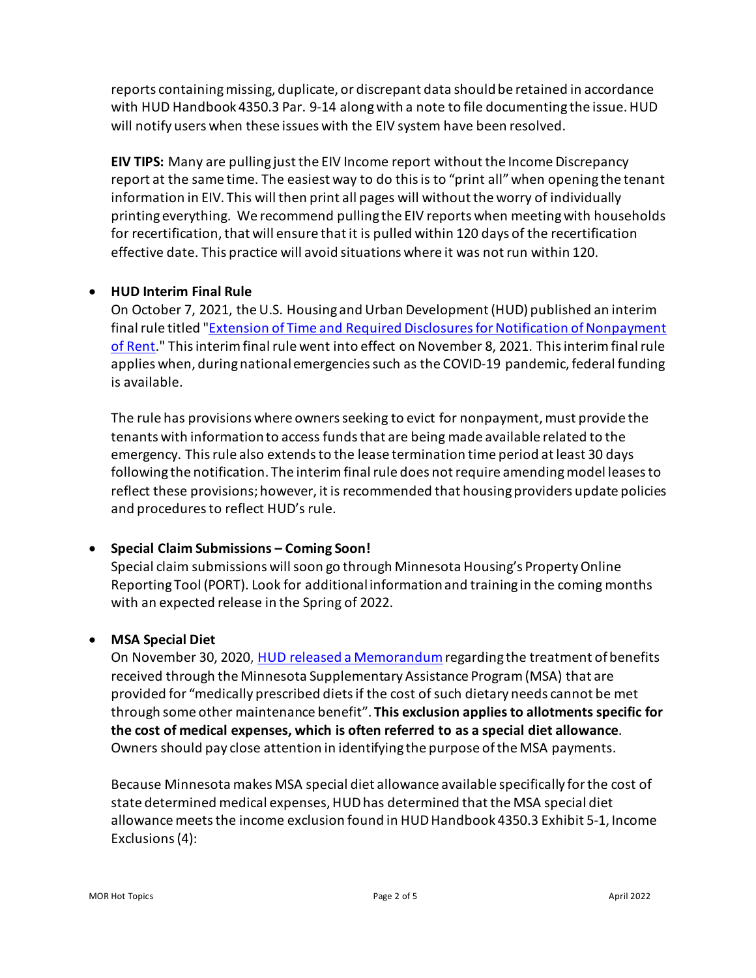reports containing missing, duplicate, or discrepant data should be retained in accordance with HUD Handbook 4350.3 Par. 9-14 along with a note to file documenting the issue.HUD will notify users when these issues with the EIV system have been resolved.

**EIV TIPS:** Many are pulling just the EIV Income report without the Income Discrepancy report at the same time. The easiest way to do this is to "print all" when opening the tenant information in EIV. This will then print all pages will without the worry of individually printing everything. We recommend pulling the EIV reports when meetingwith households for recertification, that will ensure that it is pulled within 120 days of the recertification effective date. This practice will avoid situations where it was not run within 120.

## • **HUD Interim Final Rule**

On October 7, 2021, the U.S. Housing and Urban Development (HUD) published an interim final rule titled ["Extension of Time and Required Disclosures for Notification of Nonpayment](https://lnks.gd/l/eyJhbGciOiJIUzI1NiJ9.eyJidWxsZXRpbl9saW5rX2lkIjoxMDIsInVyaSI6ImJwMjpjbGljayIsImJ1bGxldGluX2lkIjoiMjAyMTEwMjEuNDc3MDE2MjEiLCJ1cmwiOiJodHRwczovL3d3dy5mZWRlcmFscmVnaXN0ZXIuZ292L2RvY3VtZW50cy8yMDIxLzEwLzA3LzIwMjEtMjE5NjAvZXh0ZW5zaW9uLW9mLXRpbWUtYW5kLXJlcXVpcmVkLWRpc2Nsb3N1cmVzLWZvci1ub3RpZmljYXRpb24tb2Ytbm9ucGF5bWVudC1vZi1yZW50P3ZhcmlhdGlvbj1BJl9reD1ZQ1VWRm5sU3g5c24wUk1KQ0JXQ002ZkxlVThhOGhkaWN2Sm1pTGU2eUw3QUZfM3pHWHBXZktXWXd5MzQxYW1hLlFOempnOCJ9.owu0ph5opGL-PDWLcrKAn9ePHUnbxqAjH2qwGvvPA6I/s/1823750487/br/114396819458-l)  [of Rent.](https://lnks.gd/l/eyJhbGciOiJIUzI1NiJ9.eyJidWxsZXRpbl9saW5rX2lkIjoxMDIsInVyaSI6ImJwMjpjbGljayIsImJ1bGxldGluX2lkIjoiMjAyMTEwMjEuNDc3MDE2MjEiLCJ1cmwiOiJodHRwczovL3d3dy5mZWRlcmFscmVnaXN0ZXIuZ292L2RvY3VtZW50cy8yMDIxLzEwLzA3LzIwMjEtMjE5NjAvZXh0ZW5zaW9uLW9mLXRpbWUtYW5kLXJlcXVpcmVkLWRpc2Nsb3N1cmVzLWZvci1ub3RpZmljYXRpb24tb2Ytbm9ucGF5bWVudC1vZi1yZW50P3ZhcmlhdGlvbj1BJl9reD1ZQ1VWRm5sU3g5c24wUk1KQ0JXQ002ZkxlVThhOGhkaWN2Sm1pTGU2eUw3QUZfM3pHWHBXZktXWXd5MzQxYW1hLlFOempnOCJ9.owu0ph5opGL-PDWLcrKAn9ePHUnbxqAjH2qwGvvPA6I/s/1823750487/br/114396819458-l)" This interim final rule went into effect on November 8, 2021. This interim final rule applies when, during national emergencies such as the COVID-19 pandemic, federal funding is available.

The rule has provisions where owners seeking to evict for nonpayment, must provide the tenants with information to access funds that are being made available related to the emergency. Thisrule also extends to the lease termination time period at least 30 days following the notification. The interim final rule does not require amending model leases to reflect these provisions; however, it is recommended that housing providers update policies and procedures to reflect HUD's rule.

# • **Special Claim Submissions – Coming Soon!**

Special claim submissions will soon go through Minnesota Housing's Property Online Reporting Tool (PORT). Look for additional information and training in the coming months with an expected release in the Spring of 2022.

# • **MSA Special Diet**

On November 30, 2020, [HUD released a Memorandum](https://www.mnhousing.gov/get/MHFA_247748) regarding the treatment of benefits received through the Minnesota Supplementary Assistance Program (MSA) that are provided for "medically prescribed diets if the cost of such dietary needs cannot be met through some other maintenance benefit". **This exclusion applies to allotments specific for the cost of medical expenses, which is often referred to as a special diet allowance**. Owners should pay close attention in identifying the purpose of the MSA payments.

Because Minnesota makes MSA special diet allowance available specifically for the cost of state determined medical expenses, HUD has determined that the MSA special diet allowance meets the income exclusion found in HUD Handbook 4350.3 Exhibit 5-1, Income Exclusions (4):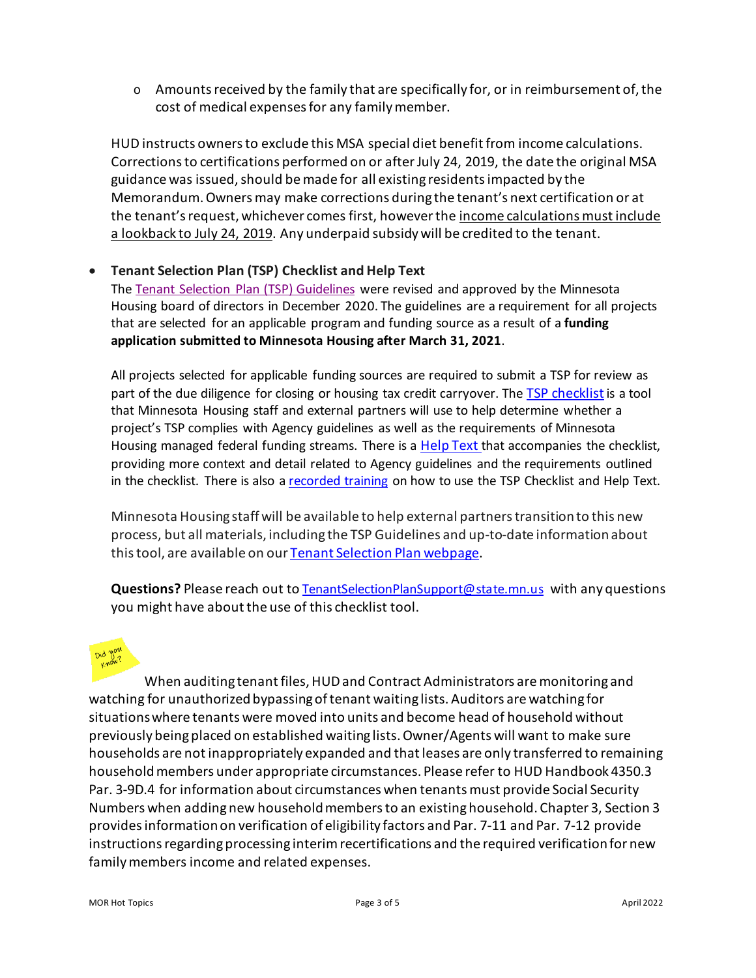$\circ$  Amounts received by the family that are specifically for, or in reimbursement of, the cost of medical expenses for any family member.

HUD instructs owners to exclude this MSA special diet benefit from income calculations. Corrections to certifications performed on or after July 24, 2019, the date the original MSA guidance was issued, should be made for all existing residents impacted by the Memorandum.Owners may make corrections during the tenant's next certification or at the tenant's request, whichever comes first, howeverthe income calculations must include a lookback to July 24, 2019. Any underpaid subsidy will be credited to the tenant.

## • **Tenant Selection Plan (TSP) Checklist and Help Text**

The [Tenant Selection Plan \(TSP\)](https://www.mnhousing.gov/get/MHFA_1039899) Guidelines were revised and approved by the Minnesota Housing board of directors in December 2020. The guidelines are a requirement for all projects that are selected for an applicable program and funding source as a result of a **funding application submitted to Minnesota Housing after March 31, 2021**.

All projects selected for applicable funding sources are required to submit a TSP for review as part of the due diligence for closing or housing tax credit carryover. The [TSP checklist](https://www.mnhousing.gov/download/MHFA_249354)is a tool that Minnesota Housing staff and external partners will use to help determine whether a project's TSP complies with Agency guidelines as well as the requirements of Minnesota Housing managed federal funding streams. There is a [Help Text](https://www.mnhousing.gov/get/MHFA_249355) that accompanies the checklist, providing more context and detail related to Agency guidelines and the requirements outlined in the checklist. There is also a [recorded training](https://www.youtube.com/watch?v=MIV-FLE8zJE) on how to use the TSP Checklist and Help Text.

Minnesota Housing staff will be available to help external partners transition to this new process, but all materials, including the TSP Guidelines and up-to-date information about this tool, are available on ou[r Tenant Selection Plan webpage.](https://www.mnhousing.gov/sites/multifamily/tenantselectionplan)

**Questions?** Please reach out to [TenantSelectionPlanSupport@state.mn.us](mailto:TenantSelectionPlanSupport@state.mn.us) with any questions you might have about the use of this checklist tool.



When auditing tenant files, HUD and Contract Administrators are monitoring and watching for unauthorized bypassing of tenant waiting lists. Auditors are watching for situations where tenants were moved into units and become head of household without previously being placed on established waiting lists. Owner/Agents will want to make sure households are not inappropriately expanded and that leases are only transferred to remaining household members under appropriate circumstances. Please refer to HUD Handbook 4350.3 Par. 3-9D.4 for information about circumstances when tenants must provide Social Security Numbers when adding new household members to an existing household. Chapter 3, Section 3 provides information on verification of eligibility factors and Par. 7-11 and Par. 7-12 provide instructions regarding processing interim recertifications and the required verification for new family members income and related expenses.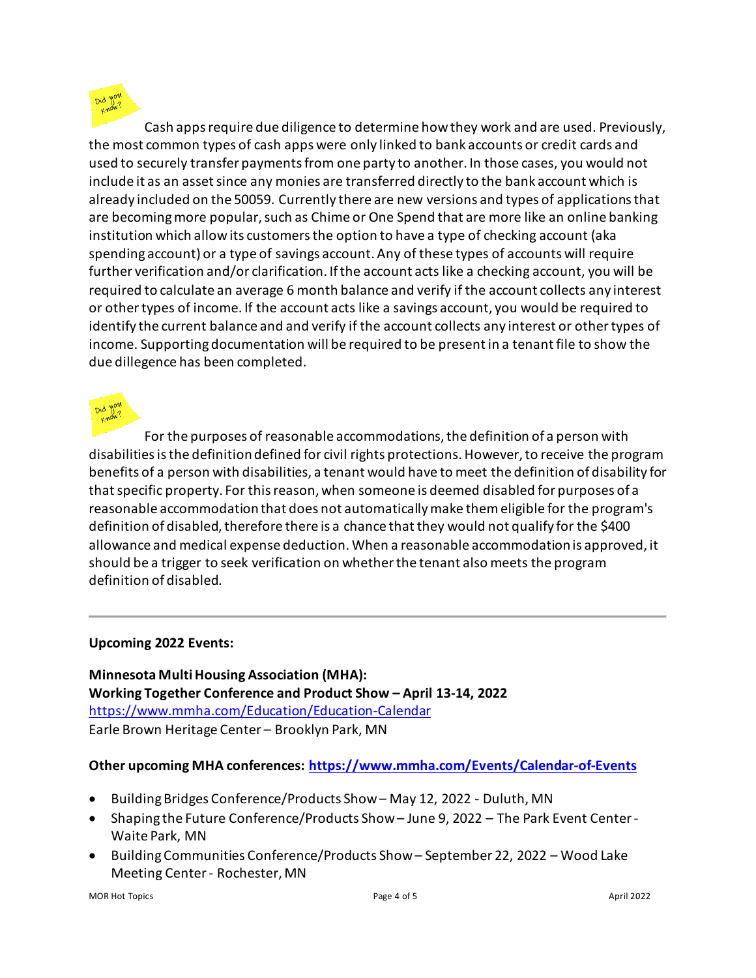Cash apps require due diligence to determine how they work and are used. Previously, the most common types of cash apps were only linked to bank accounts or credit cards and used to securely transfer payments from one party to another. In those cases, you would not include it as an asset since any monies are transferred directly to the bank account which is already included on the 50059. Currently there are new versions and types of applicationsthat are becoming more popular, such as Chime or One Spend that are more like an online banking institution which allow its customers the option to have a type of checking account (aka spending account) or a type of savings account. Any of these types of accounts will require further verification and/or clarification. If the account acts like a checking account, you will be required to calculate an average 6 month balance and verify if the account collects any interest or other types of income. If the account acts like a savings account, you would be required to identify the current balance and and verify if the account collects any interest or other types of income. Supporting documentation will be required to be present in a tenant file to show the due dillegence has been completed.

For the purposes of reasonable accommodations, the definition of a person with disabilities is the definition defined for civil rights protections. However, to receive the program benefits of a person with disabilities, a tenant would have to meet the definition of disability for that specific property. For this reason, when someone is deemed disabled for purposes of a reasonable accommodation that does not automatically make them eligible for the program's definition of disabled, therefore there is a chance that they would not qualify for the \$400 allowance and medical expense deduction. When a reasonable accommodation is approved, it should be a trigger to seek verification on whether the tenant also meets the program definition of disabled.

## **Upcoming 2022 Events:**

**Minnesota Multi Housing Association (MHA): Working Together Conference and Product Show – April 13-14, 2022**  <https://www.mmha.com/Education/Education-Calendar> Earle Brown Heritage Center – Brooklyn Park, MN

## **Other upcoming MHA conferences:<https://www.mmha.com/Events/Calendar-of-Events>**

- Building Bridges Conference/Products Show May 12, 2022 Duluth, MN
- Shaping the Future Conference/Products Show June 9, 2022 The Park Event Center-Waite Park, MN
- Building Communities Conference/Products Show September 22, 2022 Wood Lake Meeting Center- Rochester, MN